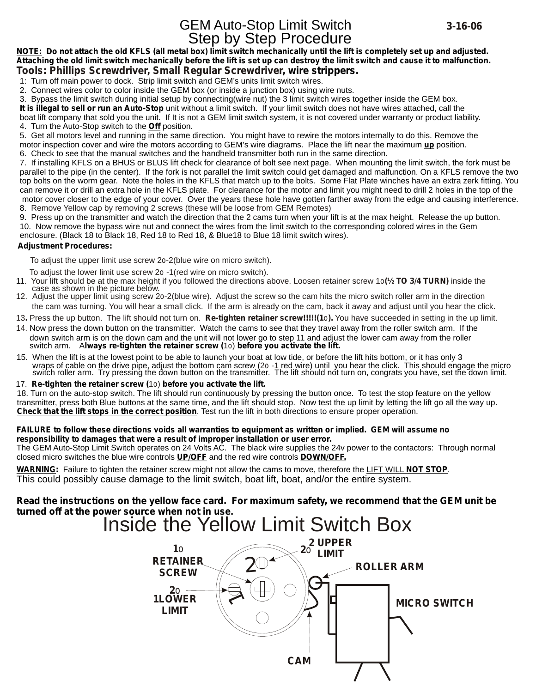**NOTE: Do not attach the old KFLS (all metal box) limit switch mechanically until the lift is completely set up and adjusted. Attaching the old limit switch mechanically before the lift is set up can destroy the limit switch and cause it to malfunction. Tools: Phillips Screwdriver, Small Regular Screwdriver, wire strippers.**

1: Turn off main power to dock. Strip limit switch and GEM's units limit switch wires.

2. Connect wires color to color inside the GEM box (or inside a junction box) using wire nuts.

3. Bypass the limit switch during initial setup by connecting(wire nut) the 3 limit switch wires together inside the GEM box.

**It is illegal to sell or run an Auto-Stop** unit without a limit switch. If your limit switch does not have wires attached, call the boat lift company that sold you the unit. If It is not a GEM limit switch system, it is not covered under warranty or product liability. 4. Turn the Auto-Stop switch to the **Off** position.

5. Get all motors level and running in the same direction. You might have to rewire the motors internally to do this. Remove the motor inspection cover and wire the motors according to GEM's wire diagrams. Place the lift near the maximum **up** position. 6. Check to see that the manual switches and the handheld transmitter both run in the same direction.

7. If installing KFLS on a BHUS or BLUS lift check for clearance of bolt see next page. When mounting the limit switch, the fork must be parallel to the pipe (in the center). If the fork is not parallel the limit switch could get damaged and malfunction. On a KFLS remove the two top bolts on the worm gear. Note the holes in the KFLS that match up to the bolts. Some Flat Plate winches have an extra zerk fitting. You can remove it or drill an extra hole in the KFLS plate. For clearance for the motor and limit you might need to drill 2 holes in the top of the motor cover closer to the edge of your cover. Over the years these hole have gotten farther away from the edge and causing interference. 8. Remove Yellow cap by removing 2 screws (these will be loose from GEM Remotes)

9. Press up on the transmitter and watch the direction that the 2 cams turn when your lift is at the max height. Release the up button. 10. Now remove the bypass wire nut and connect the wires from the limit switch to the corresponding colored wires in the Gem enclosure. (Black 18 to Black 18, Red 18 to Red 18, & Blue18 to Blue 18 limit switch wires).

## **Adjustment Procedures:**

To adjust the upper limit use screw 2o-2(blue wire on micro switch).

To adjust the lower limit use screw 2o -1(red wire on micro switch).

- 11. Your lift should be at the max height if you followed the directions above. Loosen retainer screw 1o**(½ TO 3/4 TURN)** inside the case as shown in the picture below.
- 12. Adjust the upper limit using screw 2o-2(blue wire). Adjust the screw so the cam hits the micro switch roller arm in the direction the cam was turning. You will hear a small click. If the arm is already on the cam, back it away and adjust until you hear the click.
- 13**.** Press the up button. The lift should not turn on. **Re-tighten retainer screw!!!!!(1**o**).** You have succeeded in setting in the up limit.
- 14. Now press the down button on the transmitter. Watch the cams to see that they travel away from the roller switch arm. If the down switch arm is on the down cam and the unit will not lower go to step 11 and adjust the lower cam away from the roller switch arm. A**lways re-tighten the retainer screw (**1o) **before you activate the lift.**
- 15. When the lift is at the lowest point to be able to launch your boat at low tide, or before the lift hits bottom, or it has only 3 wraps of cable on the drive pipe, adjust the bottom cam screw (2o -1 red wire) until you hear the click. This should engage the micro<br>switch roller arm. Try pressing the down button on the transmitter. The lift should

### 17. **Re-tighten the retainer screw (**1o) **before you activate the lift.**

18. Turn on the auto-stop switch. The lift should run continuously by pressing the button once. To test the stop feature on the yellow transmitter, press both Blue buttons at the same time, and the lift should stop. Now test the up limit by letting the lift go all the way up. **Check that the lift stops in the correct position**. Test run the lift in both directions to ensure proper operation.

### **FAILURE to follow these directions voids all warranties to equipment as written or implied. GEM will assume no responsibility to damages that were a result of improper installation or user error.**

The GEM Auto-Stop Limit Switch operates on 24 Volts AC. The black wire supplies the 24v power to the contactors: Through normal closed micro switches the blue wire controls **UP/OFF** and the red wire controls **DOWN/OFF.**

**WARNING:** Failure to tighten the retainer screw might not allow the cams to move, therefore the LIFT WILL **NOT STOP**. This could possibly cause damage to the limit switch, boat lift, boat, and/or the entire system.

## **Read the instructions on the yellow face card. For maximum safety, we recommend that the GEM unit be turned off at the power source when not in use.**